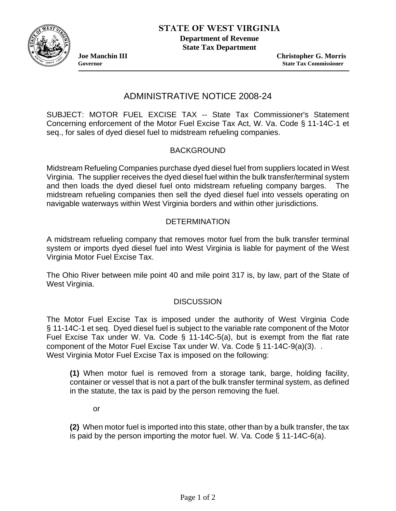

**Department of Revenue State Tax Department** 

**Joe Manchin III Christopher G. Morris Governor State Tax Commissioner** 

# ADMINISTRATIVE NOTICE 2008-24

SUBJECT: MOTOR FUEL EXCISE TAX -- State Tax Commissioner's Statement Concerning enforcement of the Motor Fuel Excise Tax Act, W. Va. Code § 11-14C-1 et seq., for sales of dyed diesel fuel to midstream refueling companies.

## BACKGROUND

Midstream Refueling Companies purchase dyed diesel fuel from suppliers located in West Virginia. The supplier receives the dyed diesel fuel within the bulk transfer/terminal system and then loads the dyed diesel fuel onto midstream refueling company barges. The midstream refueling companies then sell the dyed diesel fuel into vessels operating on navigable waterways within West Virginia borders and within other jurisdictions.

## **DETERMINATION**

A midstream refueling company that removes motor fuel from the bulk transfer terminal system or imports dyed diesel fuel into West Virginia is liable for payment of the West Virginia Motor Fuel Excise Tax.

The Ohio River between mile point 40 and mile point 317 is, by law, part of the State of West Virginia.

### **DISCUSSION**

The Motor Fuel Excise Tax is imposed under the authority of West Virginia Code § 11-14C-1 et seq. Dyed diesel fuel is subject to the variable rate component of the Motor Fuel Excise Tax under W. Va. Code § 11-14C-5(a), but is exempt from the flat rate component of the Motor Fuel Excise Tax under W. Va. Code § 11-14C-9(a)(3). . West Virginia Motor Fuel Excise Tax is imposed on the following:

**(1)** When motor fuel is removed from a storage tank, barge, holding facility, container or vessel that is not a part of the bulk transfer terminal system, as defined in the statute, the tax is paid by the person removing the fuel.

or

**(2)** When motor fuel is imported into this state, other than by a bulk transfer, the tax is paid by the person importing the motor fuel. W. Va. Code § 11-14C-6(a).